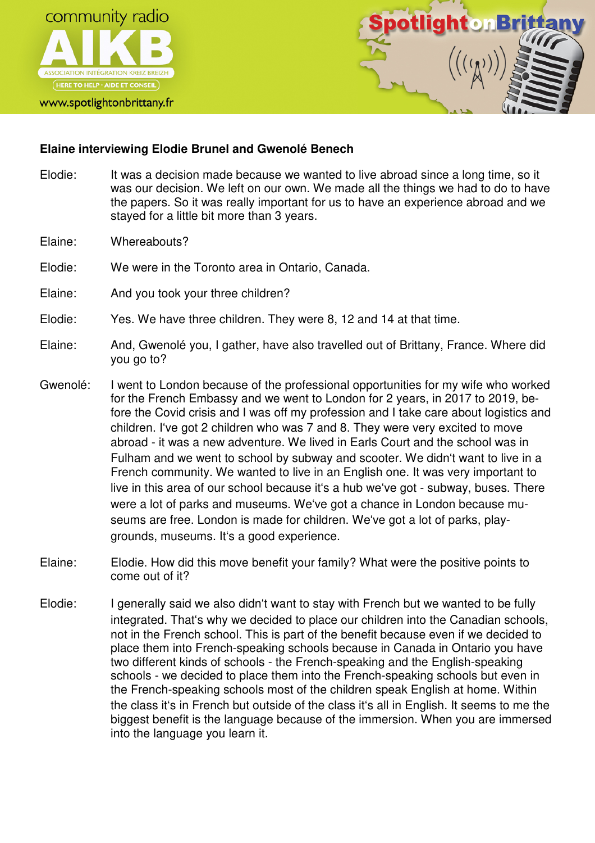

www.spotlightonbrittany.fr



## **Elaine interviewing Elodie Brunel and Gwenolé Benech**

- Elodie: It was a decision made because we wanted to live abroad since a long time, so it was our decision. We left on our own. We made all the things we had to do to have the papers. So it was really important for us to have an experience abroad and we stayed for a little bit more than 3 years.
- Elaine: Whereabouts?
- Elodie: We were in the Toronto area in Ontario, Canada.
- Elaine: And you took your three children?
- Elodie: Yes. We have three children. They were 8, 12 and 14 at that time.
- Elaine: And, Gwenolé you, I gather, have also travelled out of Brittany, France. Where did you go to?
- Gwenolé: I went to London because of the professional opportunities for my wife who worked for the French Embassy and we went to London for 2 years, in 2017 to 2019, before the Covid crisis and I was off my profession and I take care about logistics and children. I've got 2 children who was 7 and 8. They were very excited to move abroad - it was a new adventure. We lived in Earls Court and the school was in Fulham and we went to school by subway and scooter. We didn't want to live in a French community. We wanted to live in an English one. It was very important to live in this area of our school because it's a hub we've got - subway, buses. There were a lot of parks and museums. We've got a chance in London because museums are free. London is made for children. We've got a lot of parks, playgrounds, museums. It's a good experience.
- Elaine: Elodie. How did this move benefit your family? What were the positive points to come out of it?
- Elodie: I generally said we also didn't want to stay with French but we wanted to be fully integrated. That's why we decided to place our children into the Canadian schools, not in the French school. This is part of the benefit because even if we decided to place them into French-speaking schools because in Canada in Ontario you have two different kinds of schools - the French-speaking and the English-speaking schools - we decided to place them into the French-speaking schools but even in the French-speaking schools most of the children speak English at home. Within the class it's in French but outside of the class it's all in English. It seems to me the biggest benefit is the language because of the immersion. When you are immersed into the language you learn it.